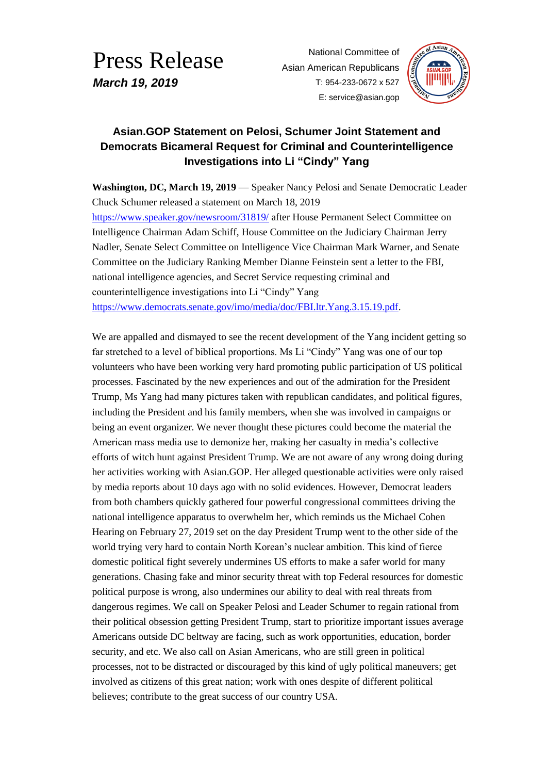## Press Release *March 19, 2019*

National Committee of Asian American Republicans T: 954-233-0672 x 527 E: service@asian.gop



## **Asian.GOP Statement on Pelosi, Schumer Joint Statement and Democrats Bicameral Request for Criminal and Counterintelligence Investigations into Li "Cindy" Yang**

**Washington, DC, March 19, 2019** — Speaker Nancy Pelosi and Senate Democratic Leader Chuck Schumer released a statement on March 18, 2019

<https://www.speaker.gov/newsroom/31819/> after House Permanent Select Committee on Intelligence Chairman Adam Schiff, House Committee on the Judiciary Chairman Jerry Nadler, Senate Select Committee on Intelligence Vice Chairman Mark Warner, and Senate Committee on the Judiciary Ranking Member Dianne Feinstein sent a letter to the FBI, national intelligence agencies, and Secret Service requesting criminal and counterintelligence investigations into Li "Cindy" Yang [https://www.democrats.senate.gov/imo/media/doc/FBI.ltr.Yang.3.15.19.pdf.](https://www.democrats.senate.gov/imo/media/doc/FBI.ltr.Yang.3.15.19.pdf)

We are appalled and dismayed to see the recent development of the Yang incident getting so far stretched to a level of biblical proportions. Ms Li "Cindy" Yang was one of our top volunteers who have been working very hard promoting public participation of US political processes. Fascinated by the new experiences and out of the admiration for the President Trump, Ms Yang had many pictures taken with republican candidates, and political figures, including the President and his family members, when she was involved in campaigns or being an event organizer. We never thought these pictures could become the material the American mass media use to demonize her, making her casualty in media's collective efforts of witch hunt against President Trump. We are not aware of any wrong doing during her activities working with Asian.GOP. Her alleged questionable activities were only raised by media reports about 10 days ago with no solid evidences. However, Democrat leaders from both chambers quickly gathered four powerful congressional committees driving the national intelligence apparatus to overwhelm her, which reminds us the Michael Cohen Hearing on February 27, 2019 set on the day President Trump went to the other side of the world trying very hard to contain North Korean's nuclear ambition. This kind of fierce domestic political fight severely undermines US efforts to make a safer world for many generations. Chasing fake and minor security threat with top Federal resources for domestic political purpose is wrong, also undermines our ability to deal with real threats from dangerous regimes. We call on Speaker Pelosi and Leader Schumer to regain rational from their political obsession getting President Trump, start to prioritize important issues average Americans outside DC beltway are facing, such as work opportunities, education, border security, and etc. We also call on Asian Americans, who are still green in political processes, not to be distracted or discouraged by this kind of ugly political maneuvers; get involved as citizens of this great nation; work with ones despite of different political believes; contribute to the great success of our country USA.